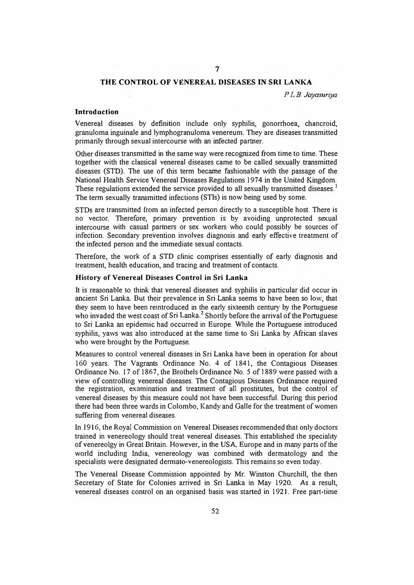## **THE CONTROL OF VENEREAL DISEASES** IN **SRI LANKA**

7

*PL B Jayasuriya* 

# **Introduction**

Venereal diseases by definition include only syphilis, gonorrhoea, chancroid, granuloma inguinale and lymphogranuloma venereum. They are diseases transmitted primarily through sexual intercourse with an infected partner.

Other diseases transmitted in the same way were recognized from time to time. These together with the classical venereal diseases came to be called sexually transmitted diseases (SID). The use of this term became fashionable with the passage of the National Health Service Venereal Diseases Regulations 1974 in the United Kingdom. These regulations extended the service provided to all sexually transmitted diseases.<sup>1</sup> The term sexually transmitted infections (STis) is now being used by some.

STDs are transmitted from an infected person directly to a susceptible host. There is no vector. Therefore, primary prevention is by avoiding unprotected sexual intercourse with casual partners or sex workers who could possibly be sources of infection. Secondary prevention involves diagnosis and early effective treatment of the infected person and the immediate sexual contacts.

Therefore, the work of a STD clinic comprises essentially of early diagnosis and treatment, health education, and tracing and treatment of contacts.

#### **History of Venereal Diseases Control in Sri Lanka**

It is reasonable to think that venereal diseases and syphilis in particular did occur in ancient Sri Lanka But their prevalence in Sri Lanka seems to have been so low, that they seem to have been reintroduced in the early sixteenth century by the Portuguese who invaded the west coast of Sri Lanka.<sup>2</sup> Shortly before the arrival of the Portuguese to Sri Lanka an epidemic bad occurred in Europe. While the Portuguese introduced syphilis, yaws was also introduced at the same time to Sri Lanka by African slaves who were brought by the Portuguese.

Measures to control venereal diseases in Sri Lanka have been in operation for about 160 years. The Vagrants Ordinance No. 4 of 1841, the Contagious Diseases Ordinance No. 17 of 1867, the Brothels Ordinance No. 5 of 1889 were passed with a view of controlling venereal diseases. The Contagious Diseases Ordinance required the registration, examination and treatment of all prostitutes, but the control of venereal diseases by this measure could not have been successful. During this period there had been three wards in Colombo, Kandy and Galle for the treatment of women suffering from venereal diseases.

In 1916, the Royal Commission on Venereal Diseases recommended that only doctors trained in venereology should treat venereal diseases. This established the speciality ofvenereolgy in Great Britain. However, in the USA, Europe and in many parts of the world including India, venereology was combined with dermatology and the specialists were designated dermato-venereologists. This remains so even today.

The Venereal Disease Commission appointed by Mr. Winston Churchill, the then Secretary of State for Colonies arrived in Sri Lanka in May 1920. As a result, venereal diseases control on an organised basis was started in 1921. Free part-time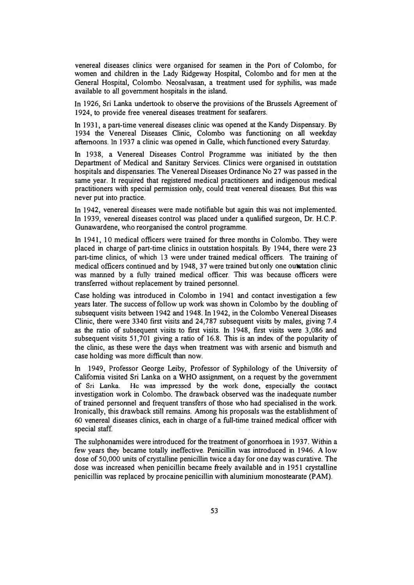venereal diseases clinics were organised for seamen in the Port of Colombo, for women and children in the Lady Ridgeway Hospital, Colombo and for men at the General Hospital, Colombo. Neosalvasan, a treatment used for syphilis, was made available to all government hospitals in the island.

In 1926, Sri Lanka undertook to observe the provisions of the Brussels Agreement of 1924, to provide free venereal diseases treatment for seafarers.

In 1931, a part-time venereal diseases clinic was opened at the Kandy Dispensary. By 1934 the Venereal Diseases Clinic, Colombo was functioning on all weekday afternoons. In 1937 a clinic was opened in Galle, which functioned every Saturday.

In 1938, a Venereal Diseases Control Programme was initiated by the then Department of Medical and Sanitary Services. Clinics were organised in outstation hospitals and dispensaries. The Venereal Diseases Ordinance No 27 was passed in the same year. **It** required that registered medical practitioners and indigenous medical practitioners with special permission only, could treat venereal diseases. But this was never put into practice.

In 1942, venereal diseases were made notifiable but again this was not implemented. In 1939, venereal diseases control was placed under a qualified surgeon, Dr. H.C.P. Gunawardene, who reorganised the control programme.

In 1941, 10 medical officers were trained for three months in Colombo. They were placed in charge of part-time clinics in outstation hospitals. By 1944, there were 23 part-time clinics, of which 13 were under trained medical officers. The training of medical officers continued and by 1948, 37 were trained but only one outstation clinic was manned by a fully trained medical officer. **This** was because officers were transferred without replacement by trained personnel.

Case holding was introduced in Colombo in 1941 and contact investigation a few years later. The success of follow up work was shown in Colombo by the doubling of subsequent visits between 1942 and 1948. In 1942, in the Colombo Venereal Diseases Clinic, there were 3340 first visits and 24,787 subsequent visits by males, giving 7.4 as the ratio of subsequent visits to first visits. In 1948, first visits were 3,086 and subsequent visits 51,701 giving a ratio of 16.8. This is an index of the popularity of the clinic, as these were the days when treatment was with arsenic and bismuth and case holding was more difficult than now.

In 1949, Professor George Leiby, Professor of Syphilology of the University of California visited Sri Lanka on a WHO assignment, on a request by the government **of Sri Lanka. He was impressed by the work done, especially the contact**  investigation work in Colombo. The drawback observed was the inadequate number of trained personnel and frequent transfers of those who had specialised in the work. Ironically, this drawback still remains. Among his proposals was the establishment of 60 venereal diseases clinics, each in charge of a full-time trained medical officer with special staff.

The sulphonamides were introduced for the treatment of gonorrhoea in 1937. Within a few years they became totally ineffective. Penicillin was introduced in 1946. A low dose of 50,000 units of crystalline penicillin twice a day for one day was curative. The dose was increased when penicillin became freely available and in 1951 crystalline penicillin was replaced by procaine penicillin with aluminium monostearate (PAM).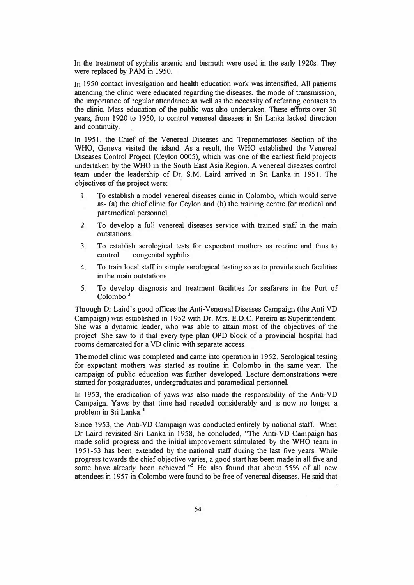In the treatment of syphilis arsenic and bismuth were used in the early 1920s. They were replaced by PAM in 1950.

1n 1950 contact investigation and health education work was intensified. All patients attending the clinic were educated regarding the diseases, the mode of transmission, the importance of regular attendance as well as the necessity of referring contacts to the clinic. Mass education of the public was also undertaken. These efforts over 30 years, from 1920 to 1950, to control venereal diseases in Sri Lanka lacked direction and continuity.

1n 1951, the Chief of the Venereal Diseases and Treponematoses Section of the WHO, Geneva visited the island. As a result, the WHO established the Venereal Diseases Control Project (Ceylon 0005), which was one of the earliest field projects undertaken by the WHO in the South East Asia Region. A venereal diseases control team under the leadership of Dr. S.M. Laird arrived in Sri Lanka in 1951. The objectives of the project were:

- I. To establish a model venereal diseases clinic in Colombo, which would serve as- (a) the chief clinic for Ceylon and (b) the training centre for medical and paramedical personnel.
- 2. To develop a full venereal diseases service with trained staff in the main outstations.
- 3. To establish serological tests for expectant mothers as routine and thus to control congenital syphilis.
- 4. To train local staff in simple serological testing so as to provide such facilities in the main outstations.
- 5. To develop diagnosis and treatment facilities for seafarers in the Port of Colombo.**<sup>3</sup>**

Through Dr Laird's good offices the Anti-Venereal Diseases Campaign (the Anti VD Campaign) was established in 1952 with Dr. Mrs. E.D.C. Pereira as Superintendent. She was a dynamic leader, who was able to attain most of the objectives of the project. She saw to it that every type plan OPD block of a provincial hospital had rooms demarcated for a VD clinic with separate access.

The model clinic was completed and came into operation in 1952. Serological testing for expectant mothers was started as routine in Colombo in the same year. The campaign of public education was further developed. Lecture demonstrations were started for postgraduates, undergraduates and paramedical personnel.

fu 1953, the eradication of yaws was also made the responsibility of the Anti-VD Campaign. Yaws by that time had receded considerably and is now no longer a problem in Sri Lanka.<sup>4</sup>

Since 1953, the Anti-VD Campaign was conducted entirely by national staff. When Dr Laird revisited Sri Lanka in 1958, he concluded, "The Anti-VD Campaign has made solid progress and the initial improvement stimulated by the WHO team in 1951-53 has been extended by the national staff during the last five years. While progress towards the chief objective varies, a good start has been made in all five and some have already been achieved."<sup>5</sup> He also found that about 55% of all new attendees in 1957 in Colombo were found to be free of venereal diseases. He said that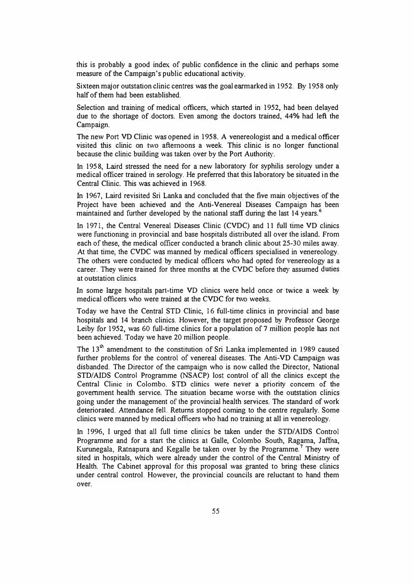this is probably a good index of public confidence in the clinic and perhaps some measure of the Campaign's public educational activity.

Sixteen major outstation clinic centres was the goal earmarked in 1952. By 1958 only half of them had been established.

Selection and training of medical officers, which started in 1952, had been delayed due to the shortage of doctors. Even among the doctors trained, 44% had left the Campaign.

The new Port VD Clinic was opened in 1958. A venereologist and a medical officer visited *this* clinic on two afternoons a week. This clinic is no longer functional because the clinic building was taken over by the Port Authority.

In 195 8, Laird stressed the need for a new laboratory for syphilis serology under a medical officer trained in serology. He preferred that this laboratory be situated in the Central Clinic. This was achieved in 1968.

In 1967, Laird revisited Sri Lanka and concluded that the five main objectives of the Project have been achieved and the Anti-Venereal Diseases Campaign has been maintained and further developed by the national staff during the last 14 years.**<sup>6</sup>**

In 1971, the Central Venereal Diseases Clinic ( CVDC) and 11 full time VD clinics were functioning in provincial and base hospitals distributed all over the island. From each of these, the medical officer conducted a branch clinic about 25-30 miles away. At that time, the CVDC was manned by medical officers specialised in venereology. The others were conducted by medical officers who had opted for venereology as a career. They were trained for three months at the CVDC before they assumed duties at outstation clinics.

In some large hospitals part-time VD clinics were held once or twice a week by medical officers who were trained at the CVDC for two weeks.

Today we have the Central STD Clinic, 16 full-time clinics in provincial and base hospitals and 14 branch clinics. However, the target proposed by Professor George Leiby for 1952, was 60 full-time clinics for a population of? million people has not been achieved. Today we have 20 million people.

The  $13<sup>th</sup>$  amendment to the constitution of Sri Lanka implemented in 1989 caused further problems for the control of venereal diseases. The Anti-VD Campaign was disbanded. The Director of the campaign who is now called the Director, National STD/AIDS Control Programme (NSACP) lost control of all the clinics except the Central Clinic in Colombo. STD clinics were never a priority concern of the government health service. The situation became worse with the outstation clinics going under the management of the provincial health services. The standard of work deteriorated. Attendance fell. Returns stopped coming to the centre regularly. Some clinics were manned by medical officers who had no training at all in venereology.

In 1996, I urged that all full time clinics be taken under the STD/AIDS Control Programme and for a start the clinics at Galle, Colombo South, Ragama, Jaffna, Kurunegala, Ratnapura and Kegalle be taken over by the Programme.<sup>7</sup> They were sited in hospitals, which were already under the control of the Central Ministry of Health. The Cabinet approval for this proposal was granted to bring these clinics under central control. However, the provincial councils are reluctant to hand them over.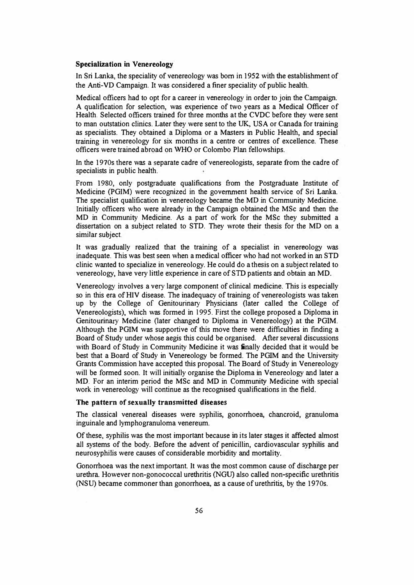## **Specialization in Venereology**

In Sri Lanka, the speciality of venereology was born in 1952 with the establishment of the Anti-VI) Campaign. It was considered a finer speciality of public health.

Medical officers had to opt for a career in venereology in order to join the Campaign. A qualification for selection, was experience of two years as a Medical Officer of Health. Selected officers trained for three months at the CVDC before they were sent to man outstation clinics. Later they were sent to the UK, USA or Canada for training as specialists. They obtained a Diploma or a Masters in Public Health, and special training in venereology for six months in a centre or centres of excellence. These officers were trained abroad on WHO or Colombo Plan fellowships.

In the 1970s there was a separate cadre of venereologists, separate from the cadre of specialists in public health.

From 1980, only postgraduate qualifications from the Postgraduate Institute of Medicine (PGIM) were recognized in the government health service of Sri Lanka. The specialist qualification in venereology became the MD in Community Medicine. Initially officers who were already in the Campaign obtained the MSc and then the MD in Community Medicine. As a part of work for the MSc they submitted a dissertation on a subject related to STD. They wrote their thesis for the MD on a similar subject.

It was gradually realized that the training of a specialist in venereology was inadequate. This was best seen when a medical officer who had not worked in an STD clinic wanted to specialize in venereology. He could do a thesis on a subject related to venereology, have very little experience in care of STD patients and obtain an MD.

Venereology involves a very large component of clinical medicine. This is especially so in this era of HIV disease. The inadequacy of training of venereologists was taken up by the College of Genitourinary Physicians (later called the College of Venereologists), which was formed in 1995. First the college proposed a Diploma in Genitourinary Medicine (later changed to Diploma in Venereology) at the PGIM. Although the PGIM was supportive of this move there were difficulties in finding a Board of Study under whose aegis this could be organised. After several discussions with Board of Study in Community Medicine it was finally decided that it would be best that a Board of Study in Venereology be formed. The PGIM and the University Grants Commission have accepted this proposal. The Board of Study in Venereology will be formed soon. It will initially organise the Diploma in Venereology and later a MD. For an interim period the MSc and MD in Community Medicine with special work in venereology will continue as the recognised qualifications in the field.

# **The pattern of sexually transmitted diseases**

The classical venereal diseases were syphilis, gonorrhoea, chancroid, granuloma inguinale and lymphogranuloma venereum.

Of these, syphilis was the most important because in its later stages it affected almost all systems of the body. Before the advent of penicillin, cardiovascular syphilis and neurosyphilis were causes of considerable morbidity and mortality.

Gonorrhoea was the next important. It was the most common cause of discharge per urethra However non-gonococcal urethritis (NGU) also called non-specific urethritis (NSU) became commoner than gonorrhoea, as a cause of urethritis, by the 1970s.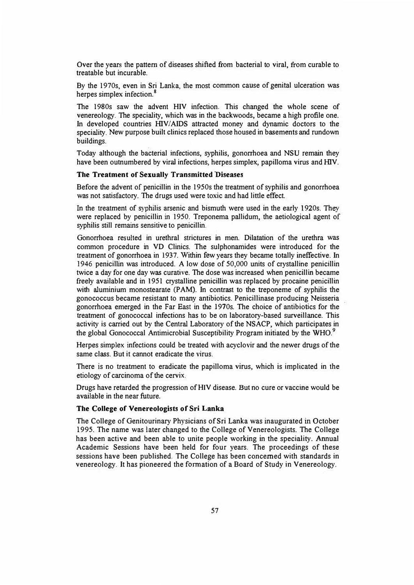Over the years the pattern of diseases shifted from bacterial to viral, from curable to treatable but incurable.

By the 1970s, even in Sri Lanka, the most common cause of genital ulceration was herpes simplex infection.<sup>8</sup>

The 1980s saw the advent HIV infection. This changed the whole scene of venereology. The speciality, which was in the backwoods, became a high profile one. In developed countries HIV/AIDS attracted money and dynamic doctors to the speciality. New purpose built clinics replaced those housed in basements and rundown buildings.

Today although the bacterial infections, syphilis, gonorrhoea and NSU remain they have been outnumbered by viral infections, herpes simplex, papilloma virus and HIV.

## **The Treatment of Sexually Transmitted Diseases**

Before the advent of penicillin in the 1950s the treatment of syphilis and gonorrhoea was not satisfactory. The drugs used were toxic and had little effect.

In the treatment of syphilis arsenic and bismuth were used in the early 1920s. They were replaced by penicillin in 1950. Treponema pallidum, the aetiological agent of syphilis still remains sensitive to penicillin.

Gonorrhoea resulted in urethral strictures in men. Dilatation of the urethra was common procedure in VD Clinics. The sulphonamides were introduced for the treatment of gonorrhoea in 1937. Within few years they became totally ineffective. In 1946 penicillin was introduced. A low dose of 50,000 units of crystalline penicillin twice a day for one day was curative. The dose was increased when penicillin became freely available and in 1951 crystalline penicillin was replaced by procaine penicillin with aluminium monostearate (PAM). In contrast to the treponeme of syphilis the gonococcus became resistant to many antibiotics. Penicillinase producing Neisseria gonorrhoea emerged in the Far East in the 1970s. The choice of antibiotics for the treatment of gonococcal infections has to be on laboratory-based surveillance. This activity is carried out by the Central Laboratory of the NSACP, which participates in the global Gonococcal Antimicrobial Susceptibility Program initiated by the WHO.<sup>9</sup>

Herpes simplex infections could be treated with acyclovir and the newer drugs of the same class. But it cannot eradicate the virus.

There is no treatment to eradicate the papilloma virus, which is implicated in the etiology of carcinoma of the cervix.

Drugs have retarded the progression of HIV disease. But no cure or vaccine would be available in the near future.

## **The College of Venereologists of Sri Lanka**

The College of Genitourinary Physicians of Sri Lanka was inaugurated in October 1995. The name was later changed to the College of Venereologists. The College has been active and been able to unite people working in the speciality. Annual Academic Sessions have been held for four years. The proceedings of these sessions have been published. The College has been concerned with standards in venereology. It has pioneered the formation of a Board of Study in Venereology.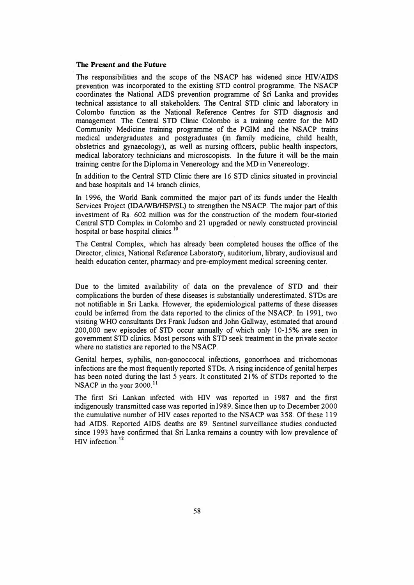## **The Present and the Future**

The responsibilities and the scope of the NSACP has widened since HIV/AIDS prevention was incorporated to the existing STD control programme. The NSACP coordinates the National AIDS prevention programme of Sri Lanka and provides technical assistance to all stakeholders. The Central STD clinic and laboratory in Colombo function as the National Reference Centres for STD diagnosis and management. The Central STD Clinic Colombo is a training centre for the MD Community Medicine training programme of the PGIM and the NSACP trains medical undergraduates and postgraduates (in family medicine, child health, obstetrics and gynaecology), as well as nursing officers, public health inspectors, medical laboratory technicians and microscopists. In the future it will be the main training centre for the Diploma in Venereology and the MD in Venereology.

In addition to the Central STD Clinic there are 16 STD clinics situated in provincial and base hospitals and 14 branch clinics.

In 1996, the World Bank committed the major part of its funds under the Health Services Project (IDA/WB/HSP/SL) to strengthen the NSACP. The major part of this investment of Rs. 602 million was for the construction of the modem four-storied Central STD Complex in Colombo and 21 upgraded or newly constructed provincial hospital or base hospital clinics.<sup>10</sup>

The Central Complex, which has already been completed houses the office of the Director, clinics, National Reference Laboratory, auditorium, library, audiovisual and health education center, pharmacy and pre-employment medical screening center.

Due to the limited availability of data on the prevalence of STD and their complications the burden of these diseases is substantially underestimated. STDs are not notifiable in Sri Lanka. However, the epidemiological patterns of these diseases could be inferred from the data reported to the clinics of the NSACP. In 1991, two visiting WHO consultants Drs Frank Judson and John Gallway, estimated that around 200,000 new episodes of STD occur annually of which only 10-15% are seen in government STD clinics. Most persons with STD seek treatment in the private sector where no statistics are reported to the NSACP.

Genital herpes, syphilis, non-gonoccocal infections, gonorrhoea and trichomonas infections are the most frequently reported STDs. A rising incidence of genital herpes has been noted during the last *5* years. It constituted 21 % of STDs reported to the NSACP in the year 2000.<sup>11</sup>

The first Sri Lankan infected with HIV was reported in 1987 and the first indigenously transmitted case was reported in 1989. Since then up to December 2000 the cumulative number of HIV cases reported to the NSACP was 358. Of these l 19 had AIDS. Reported AIDS deaths are 89. Sentinel surveillance studies conducted since 1993 have confirmed that Sri Lanka remains a country with low prevalence of HIV infection.<sup>12</sup>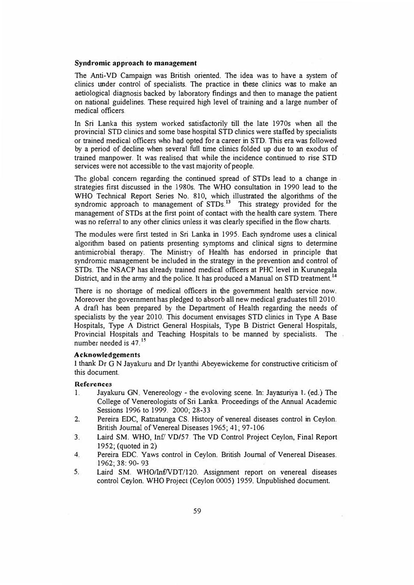### **Syndromic approach to management**

The Anti-VD Campaign was British oriented. The idea was to have a system of clinics under control of specialists. The practice in these clinics was to make an aetiological diagnosis backed by laboratory findings and then to manage the patient on national guidelines. These required high level of training and a large number of medical officers.

In Sri Lanka this system worked satisfactorily till the late 1970s when all the provincial STD clinics and some base hospital STD clinics were staffed by specialists or trained medical officers who had opted for a career in STD. This era was followed by a period of decline when several full time clinics folded up due to an exodus of trained manpower. It was realised that while the incidence continued to rise STD services were not accessible to the vast majority of people.

The global concern regarding the continued spread of STDs lead to a change in strategies first discussed in the 1980s. The WHO consultation in 1990 lead to the WHO Technical Report Series No. 810, which illustrated the algorithms of the syndromic approach to management of  $STDs$ <sup>13</sup> This strategy provided for the management of STDs at the first point of contact with the health care system. There was no referral to any other clinics unless it was clearly specified in the flow charts.

The modules were first tested in Sri Lanka in 1995. Each syndrome uses a clinical algorithm based on patients presenting symptoms and clinical signs to determine antimicrobial therapy. The Ministry of Health has endorsed in principle that syndromic management be included in the strategy in the prevention and control of STDs. The NSACP bas already trained medical officers at PHC level in Kurunegala District, and in the army and the police. It has produced a Manual on STD treatment.<sup>14</sup>

There is no shortage of medical officers in the government health service now. Moreover the government has pledged to absorb all new medical graduates till 2010. A draft has been prepared by the Department of Health regarding the needs of specialists by the year 2010. This document envisages STD clinics in Type A Base Hospitals, Type A District General Hospitals, Type B District General Hospitals, Provincial Hospitals and Teaching Hospitals to be manned by specialists. The number needed is 47. **<sup>15</sup>**

### **Acknowledgements**

I thank Dr G N Jayakuru and Dr Iyanthi Abeyewickeme for constructive criticism of this document.

#### **References**

- 1.Jayakuru GN. Venereology - the evoloving scene. In: Jayasuriya 1. (ed.) The College of Venereologists of Sri Lanka Proceedings of the Annual Academic Sessions 1996 to 1999. 2000; 28-33
- 2. Pereira EDC, Ratnatunga CS. History of venereal diseases control in Ceylon. British Journal of Venereal Diseases 1965; 41; 97-106
- 3. Laird SM. WHO, In£' VD/57. The VD Control Project Ceylon, Final Report 1952; (quoted in 2)
- 4. Pereira EDC. Yaws control in Ceylon. British Journal of Venereal Diseases. 1962; 38: 90- 93
- 5. Laird SM WHO/lnf/VDT/120. Assignment report on venereal diseases control Ceylon. WHO Project (Ceylon 0005) 1959. Unpublished document.